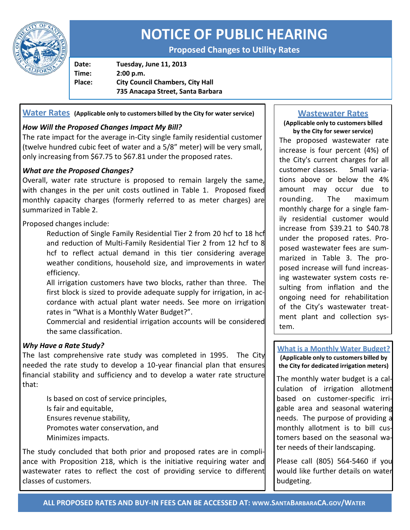

# **NOTICE OF PUBLIC HEARING**

**Proposed Changes to Utility Rates**

**Date: Tuesday, June 11, 2013 Time: 2:00 p.m. Place: City Council Chambers, City Hall 735 Anacapa Street, Santa Barbara**

**Water Rates (Applicable only to customers billed by the City for water service)**

# *How Will the Proposed Changes Impact My Bill?*

The rate impact for the average in-City single family residential customer (twelve hundred cubic feet of water and a 5/8" meter) will be very small, only increasing from \$67.75 to \$67.81 under the proposed rates.

# *What are the Proposed Changes?*

Overall, water rate structure is proposed to remain largely the same, with changes in the per unit costs outlined in Table 1. Proposed fixed monthly capacity charges (formerly referred to as meter charges) are summarized in Table 2.

Proposed changes include:

Reduction of Single Family Residential Tier 2 from 20 hcf to 18 hcf and reduction of Multi-Family Residential Tier 2 from 12 hcf to 8 hcf to reflect actual demand in this tier considering average weather conditions, household size, and improvements in water efficiency.

All irrigation customers have two blocks, rather than three. The first block is sized to provide adequate supply for irrigation, in accordance with actual plant water needs. See more on irrigation rates in "What is a Monthly Water Budget?".

Commercial and residential irrigation accounts will be considered the same classification.

## *Why Have a Rate Study?*

The last comprehensive rate study was completed in 1995. The City needed the rate study to develop a 10-year financial plan that ensures financial stability and sufficiency and to develop a water rate structure that:

Is based on cost of service principles, Is fair and equitable, Ensures revenue stability, Promotes water conservation, and Minimizes impacts.

The study concluded that both prior and proposed rates are in compliance with Proposition 218, which is the initiative requiring water and wastewater rates to reflect the cost of providing service to different classes of customers.

# **Wastewater Rates**

#### **(Applicable only to customers billed by the City for sewer service)**

The proposed wastewater rate increase is four percent (4%) of the City's current charges for all customer classes. Small variations above or below the 4% amount may occur due to rounding. The maximum monthly charge for a single family residential customer would increase from \$39.21 to \$40.78 under the proposed rates. Proposed wastewater fees are summarized in Table 3. The proposed increase will fund increasing wastewater system costs resulting from inflation and the ongoing need for rehabilitation of the City's wastewater treatment plant and collection system.

**What is a Monthly Water Budget? (Applicable only to customers billed by the City for dedicated irrigation meters)**

The monthly water budget is a calculation of irrigation allotment based on customer-specific irrigable area and seasonal watering needs. The purpose of providing a monthly allotment is to bill customers based on the seasonal water needs of their landscaping.

Please call (805) 564-5460 if you would like further details on water budgeting.